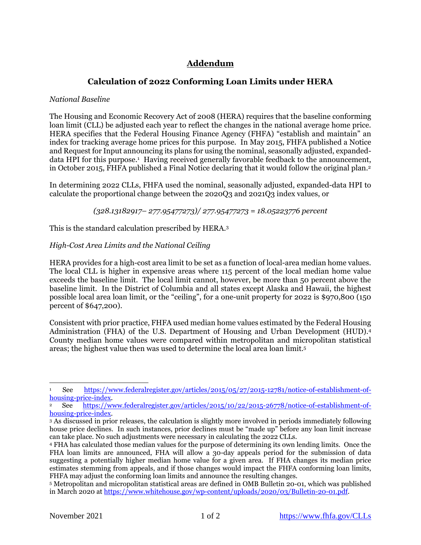# **Addendum**

# **Calculation of 2022 Conforming Loan Limits under HERA**

# *National Baseline*

The Housing and Economic Recovery Act of 2008 (HERA) requires that the baseline conforming loan limit (CLL) be adjusted each year to reflect the changes in the national average home price. HERA specifies that the Federal Housing Finance Agency (FHFA) "establish and maintain" an index for tracking average home prices for this purpose. In May 2015, FHFA published a Notice and Request for Input announcing its plans for using the nominal, seasonally adjusted, expandeddata HPI for this purpose.<sup>1</sup> Having received generally favorable feedback to the announcement, in October 2015, FHFA published a Final Notice declaring that it would follow the original plan.<sup>2</sup>

In determining 2022 CLLs, FHFA used the nominal, seasonally adjusted, expanded-data HPI to calculate the proportional change between the 2020Q3 and 2021Q3 index values, or

*(328.13182917– 277.95477273)/ 277.95477273 = 18.05223776 percent* 

This is the standard calculation prescribed by HERA.<sup>3</sup>

# *High-Cost Area Limits and the National Ceiling*

HERA provides for a high-cost area limit to be set as a function of local-area median home values. The local CLL is higher in expensive areas where 115 percent of the local median home value exceeds the baseline limit. The local limit cannot, however, be more than 50 percent above the baseline limit. In the District of Columbia and all states except Alaska and Hawaii, the highest possible local area loan limit, or the "ceiling", for a one-unit property for 2022 is \$970,800 (150 percent of \$647,200).

Consistent with prior practice, FHFA used median home values estimated by the Federal Housing Administration (FHA) of the U.S. Department of Housing and Urban Development (HUD).<sup>4</sup> County median home values were compared within metropolitan and micropolitan statistical areas; the highest value then was used to determine the local area loan limit.<sup>5</sup>

<sup>1</sup> See [https://www.federalregister.gov/articles/2015/05/27/2015-12781/notice-of-establishment-of](https://www.federalregister.gov/articles/2015/05/27/2015-12781/notice-of-establishment-of-housing-price-index)[housing-price-index.](https://www.federalregister.gov/articles/2015/05/27/2015-12781/notice-of-establishment-of-housing-price-index)

<sup>2</sup> See [https://www.federalregister.gov/articles/2015/10/22/2015-26778/notice-of-establishment-of](https://www.federalregister.gov/articles/2015/10/22/2015-26778/notice-of-establishment-of-housing-price-index)[housing-price-index.](https://www.federalregister.gov/articles/2015/10/22/2015-26778/notice-of-establishment-of-housing-price-index)

<sup>3</sup> As discussed in prior releases, the calculation is slightly more involved in periods immediately following house price declines. In such instances, prior declines must be "made up" before any loan limit increase can take place. No such adjustments were necessary in calculating the 2022 CLLs.

<sup>4</sup> FHA has calculated those median values for the purpose of determining its own lending limits. Once the FHA loan limits are announced, FHA will allow a 30-day appeals period for the submission of data suggesting a potentially higher median home value for a given area. If FHA changes its median price estimates stemming from appeals, and if those changes would impact the FHFA conforming loan limits, FHFA may adjust the conforming loan limits and announce the resulting changes.

<sup>5</sup> Metropolitan and micropolitan statistical areas are defined in OMB Bulletin 20-01, which was published in March 2020 at [https://www.whitehouse.gov/wp-content/uploads/2020/03/Bulletin-20-01.pdf.](https://www.whitehouse.gov/wp-content/uploads/2020/03/Bulletin-20-01.pdf)